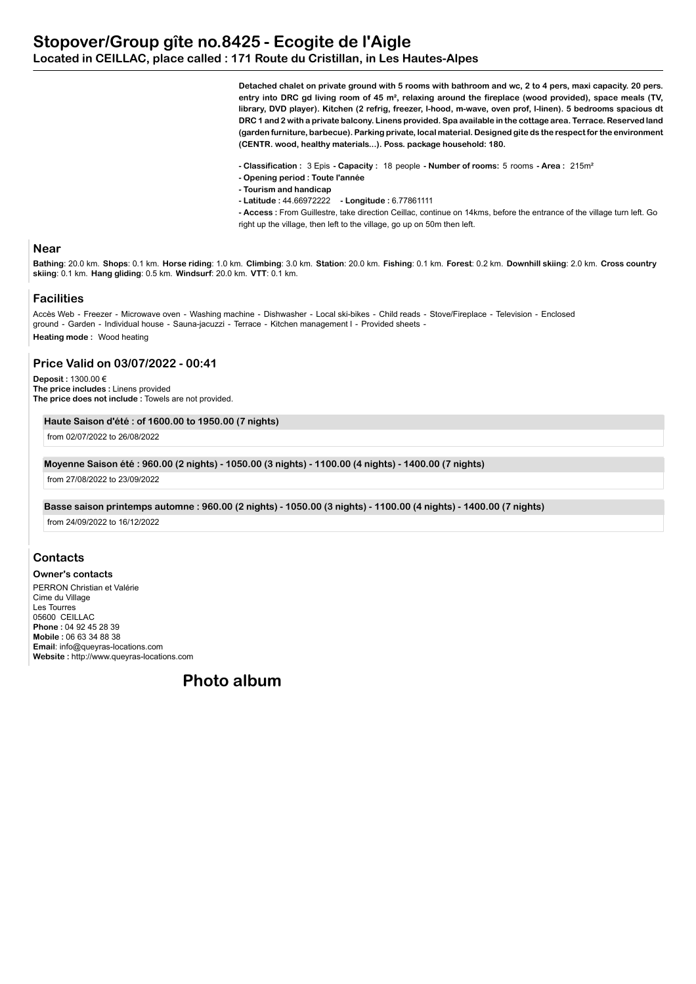**Detached chalet on private ground with 5 rooms with bathroom and wc, 2 to 4 pers, maxi capacity. 20 pers. entry into DRC gd living room of 45 m², relaxing around the fireplace (wood provided), space meals (TV, library, DVD player). Kitchen (2 refrig, freezer, l-hood, m-wave, oven prof, l-linen). 5 bedrooms spacious dt DRC 1 and 2 with a private balcony. Linens provided. Spa available in the cottage area. Terrace. Reserved land (garden furniture, barbecue). Parking private, local material. Designed gite ds the respect for the environment (CENTR. wood, healthy materials...). Poss. package household: 180.**

- **Classification :** 3 Epis  **Capacity :** 18 people  **Number of rooms:** 5 rooms  **Area :** 215m²
- **Opening period : Toute l'année**
- **Tourism and handicap**
- **Latitude :** 44.66972222  **Longitude :** 6.77861111

**- Access :** From Guillestre, take direction Ceillac, continue on 14kms, before the entrance of the village turn left. Go right up the village, then left to the village, go up on 50m then left.

### **Near**

Bathing: 20.0 km. Shops: 0.1 km. Horse riding: 1.0 km. Climbing: 3.0 km. Station: 20.0 km. Fishing: 0.1 km. Forest: 0.2 km. Downhill skiing: 2.0 km. Cross country **skiing**: 0.1 km. **Hang gliding**: 0.5 km. **Windsurf**: 20.0 km. **VTT**: 0.1 km.

### **Facilities**

Accès Web - Freezer - Microwave oven - Washing machine - Dishwasher - Local ski-bikes - Child reads - Stove/Fireplace - Television - Enclosed ground - Garden - Individual house - Sauna-jacuzzi - Terrace - Kitchen management l - Provided sheets - **Heating mode :** Wood heating

### **Price Valid on 03/07/2022 - 00:41**

**Deposit :** 1300.00 € **The price includes :** Linens provided **The price does not include :** Towels are not provided.

#### **Haute Saison d'été : of 1600.00 to 1950.00 (7 nights)**

from 02/07/2022 to 26/08/2022

#### **Moyenne Saison été : 960.00 (2 nights) - 1050.00 (3 nights) - 1100.00 (4 nights) - 1400.00 (7 nights)**

from 27/08/2022 to 23/09/2022

#### **Basse saison printemps automne : 960.00 (2 nights) - 1050.00 (3 nights) - 1100.00 (4 nights) - 1400.00 (7 nights)**

from 24/09/2022 to 16/12/2022

## **Contacts**

**Owner's contacts** PERRON Christian et Valérie Cime du Village Les Tourres 05600 CEILLAC **Phone :** 04 92 45 28 39 **Mobile :** 06 63 34 88 38 **Email**: info@queyras-locations.com **Website :** http://www.queyras-locations.com